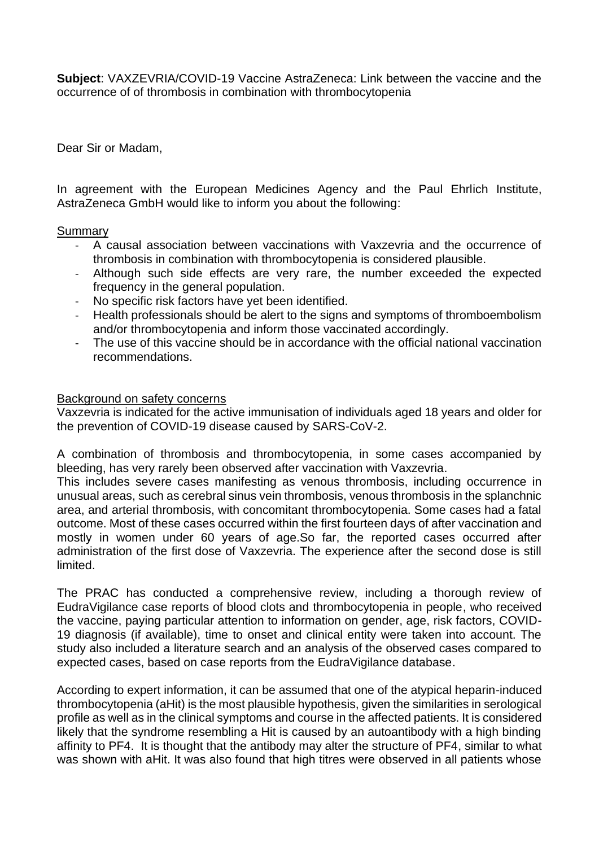**Subject**: VAXZEVRIA/COVID-19 Vaccine AstraZeneca: Link between the vaccine and the occurrence of of thrombosis in combination with thrombocytopenia

Dear Sir or Madam,

In agreement with the European Medicines Agency and the Paul Ehrlich Institute, AstraZeneca GmbH would like to inform you about the following:

## Summary

- A causal association between vaccinations with Vaxzevria and the occurrence of thrombosis in combination with thrombocytopenia is considered plausible.
- Although such side effects are very rare, the number exceeded the expected frequency in the general population.
- No specific risk factors have yet been identified.<br>- Health professionals should be alert to the signs
- Health professionals should be alert to the signs and symptoms of thromboembolism and/or thrombocytopenia and inform those vaccinated accordingly.
- The use of this vaccine should be in accordance with the official national vaccination recommendations.

## Background on safety concerns

Vaxzevria is indicated for the active immunisation of individuals aged 18 years and older for the prevention of COVID-19 disease caused by SARS-CoV-2.

A combination of thrombosis and thrombocytopenia, in some cases accompanied by bleeding, has very rarely been observed after vaccination with Vaxzevria.

This includes severe cases manifesting as venous thrombosis, including occurrence in unusual areas, such as cerebral sinus vein thrombosis, venous thrombosis in the splanchnic area, and arterial thrombosis, with concomitant thrombocytopenia. Some cases had a fatal outcome. Most of these cases occurred within the first fourteen days of after vaccination and mostly in women under 60 years of age.So far, the reported cases occurred after administration of the first dose of Vaxzevria. The experience after the second dose is still limited.

The PRAC has conducted a comprehensive review, including a thorough review of EudraVigilance case reports of blood clots and thrombocytopenia in people, who received the vaccine, paying particular attention to information on gender, age, risk factors, COVID-19 diagnosis (if available), time to onset and clinical entity were taken into account. The study also included a literature search and an analysis of the observed cases compared to expected cases, based on case reports from the EudraVigilance database.

According to expert information, it can be assumed that one of the atypical heparin-induced thrombocytopenia (aHit) is the most plausible hypothesis, given the similarities in serological profile as well as in the clinical symptoms and course in the affected patients. It is considered likely that the syndrome resembling a Hit is caused by an autoantibody with a high binding affinity to PF4. It is thought that the antibody may alter the structure of PF4, similar to what was shown with aHit. It was also found that high titres were observed in all patients whose